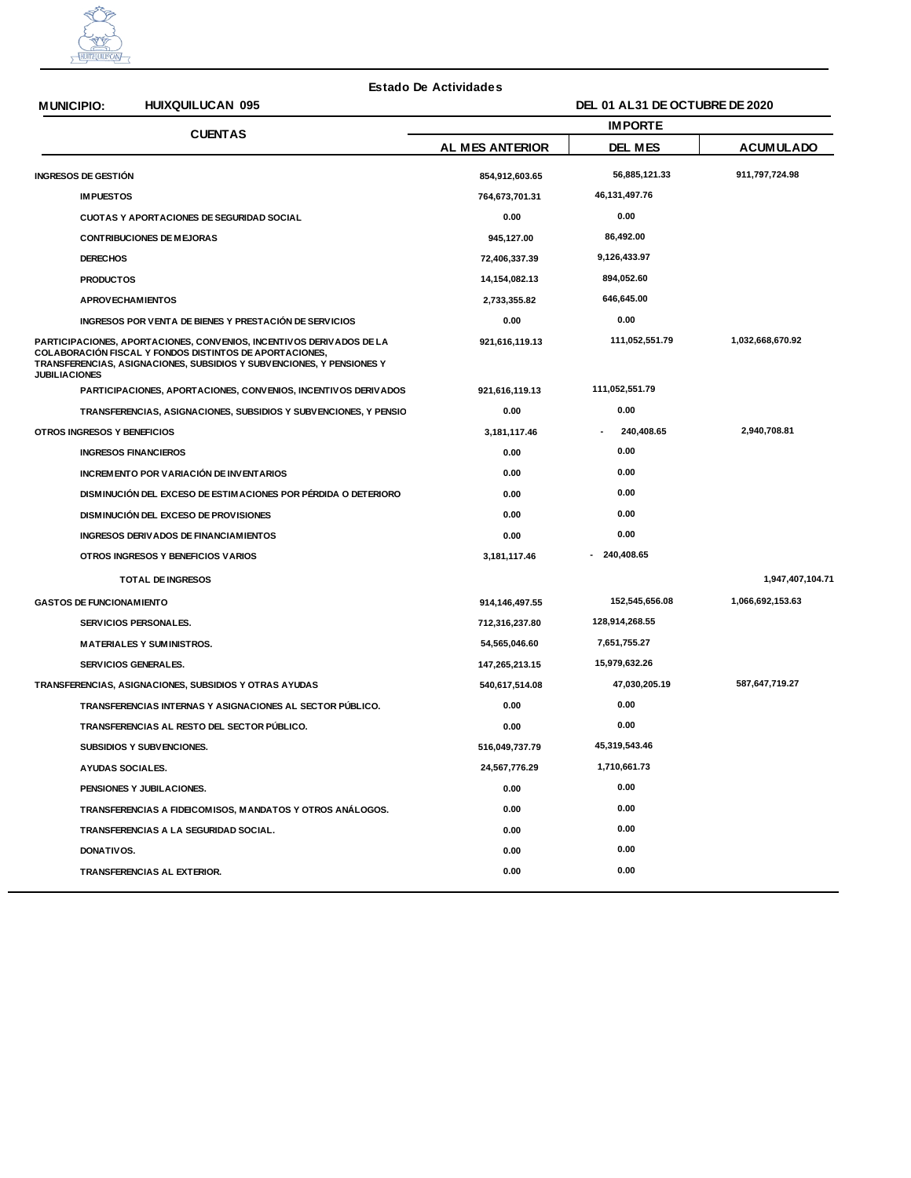

## **Estado De Actividades**

## **MUNICIPIO: HUIXQUILUCAN 095**

| <b>MUNICIPIO:</b>                                      | <b>HUIXQUILUCAN 095</b>                                                                                                                                                                                  | DEL 01 AL31 DE OCTUBRE DE 2020 |                  |                  |
|--------------------------------------------------------|----------------------------------------------------------------------------------------------------------------------------------------------------------------------------------------------------------|--------------------------------|------------------|------------------|
|                                                        | <b>CUENTAS</b>                                                                                                                                                                                           | <b>IMPORTE</b>                 |                  |                  |
|                                                        |                                                                                                                                                                                                          | AL MES ANTERIOR                | DEL MES          | <b>ACUMULADO</b> |
| INGRESOS DE GESTIÓN                                    |                                                                                                                                                                                                          | 854,912,603.65                 | 56,885,121.33    | 911,797,724.98   |
| <b>IMPUESTOS</b>                                       |                                                                                                                                                                                                          | 764,673,701.31                 | 46, 131, 497. 76 |                  |
| <b>CUOTAS Y APORTACIONES DE SEGURIDAD SOCIAL</b>       |                                                                                                                                                                                                          | 0.00                           | 0.00             |                  |
| <b>CONTRIBUCIONES DE MEJORAS</b>                       |                                                                                                                                                                                                          | 945,127.00                     | 86,492.00        |                  |
| <b>DERECHOS</b>                                        |                                                                                                                                                                                                          | 72,406,337.39                  | 9,126,433.97     |                  |
| <b>PRODUCTOS</b>                                       |                                                                                                                                                                                                          | 14,154,082.13                  | 894,052.60       |                  |
| <b>APROVECHAMIENTOS</b>                                |                                                                                                                                                                                                          | 2,733,355.82                   | 646,645.00       |                  |
|                                                        | INGRESOS POR VENTA DE BIENES Y PRESTACIÓN DE SERVICIOS                                                                                                                                                   | 0.00                           | 0.00             |                  |
| <b>JUBILIACIONES</b>                                   | PARTICIPACIONES, APORTACIONES, CONVENIOS, INCENTIVOS DERIVADOS DE LA<br>COLABORACIÓN FISCAL Y FONDOS DISTINTOS DE APORTACIONES,<br>TRANSFERENCIAS, ASIGNACIONES, SUBSIDIOS Y SUBVENCIONES, Y PENSIONES Y | 921,616,119.13                 | 111,052,551.79   | 1,032,668,670.92 |
|                                                        | PARTICIPACIONES, APORTACIONES, CONVENIOS, INCENTIVOS DERIVADOS                                                                                                                                           | 921,616,119.13                 | 111,052,551.79   |                  |
|                                                        | TRANSFERENCIAS, ASIGNACIONES, SUBSIDIOS Y SUBVENCIONES, Y PENSIO                                                                                                                                         | 0.00                           | 0.00             |                  |
| OTROS INGRESOS Y BENEFICIOS                            |                                                                                                                                                                                                          | 3,181,117.46                   | 240,408.65       | 2,940,708.81     |
|                                                        | <b>INGRESOS FINANCIEROS</b>                                                                                                                                                                              | 0.00                           | 0.00             |                  |
|                                                        | INCREMENTO POR VARIACIÓN DE INVENTARIOS                                                                                                                                                                  | 0.00                           | 0.00             |                  |
|                                                        | DISMINUCIÓN DEL EXCESO DE ESTIMACIONES POR PÉRDIDA O DETERIORO                                                                                                                                           | 0.00                           | 0.00             |                  |
|                                                        | DISMINUCIÓN DEL EXCESO DE PROVISIONES                                                                                                                                                                    | 0.00                           | 0.00             |                  |
|                                                        | INGRESOS DERIVADOS DE FINANCIAM IENTOS                                                                                                                                                                   | 0.00                           | 0.00             |                  |
|                                                        | OTROS INGRESOS Y BENEFICIOS VARIOS                                                                                                                                                                       | 3,181,117.46                   | - 240,408.65     |                  |
|                                                        | <b>TOTAL DE INGRESOS</b>                                                                                                                                                                                 |                                |                  | 1,947,407,104.71 |
| <b>GASTOS DE FUNCIONAM IENTO</b>                       |                                                                                                                                                                                                          | 914,146,497.55                 | 152,545,656.08   | 1,066,692,153.63 |
|                                                        | SERVICIOS PERSONALES.                                                                                                                                                                                    | 712,316,237.80                 | 128,914,268.55   |                  |
|                                                        | <b>MATERIALES Y SUMINISTROS.</b>                                                                                                                                                                         | 54,565,046.60                  | 7,651,755.27     |                  |
|                                                        | SERVICIOS GENERALES.                                                                                                                                                                                     | 147,265,213.15                 | 15,979,632.26    |                  |
| TRANSFERENCIAS, ASIGNACIONES, SUBSIDIOS Y OTRAS AYUDAS |                                                                                                                                                                                                          | 540,617,514.08                 | 47,030,205.19    | 587,647,719.27   |
|                                                        | TRANSFERENCIAS INTERNAS Y ASIGNACIONES AL SECTOR PÚBLICO.                                                                                                                                                | 0.00                           | 0.00             |                  |
|                                                        | TRANSFERENCIAS AL RESTO DEL SECTOR PÚBLICO.                                                                                                                                                              | 0.00                           | 0.00             |                  |
|                                                        | SUBSIDIOS Y SUBVENCIONES.                                                                                                                                                                                | 516,049,737.79                 | 45,319,543.46    |                  |
|                                                        | AYUDAS SOCIALES.                                                                                                                                                                                         | 24,567,776.29                  | 1,710,661.73     |                  |
|                                                        | PENSIONES Y JUBILACIONES.                                                                                                                                                                                | 0.00                           | 0.00             |                  |
|                                                        | TRANSFERENCIAS A FIDEICOMISOS, MANDATOS Y OTROS ANÁLOGOS.                                                                                                                                                | 0.00                           | 0.00             |                  |
|                                                        | TRANSFERENCIAS A LA SEGURIDAD SOCIAL.                                                                                                                                                                    | 0.00                           | 0.00             |                  |
| DONATIVOS.                                             |                                                                                                                                                                                                          | 0.00                           | 0.00             |                  |
|                                                        | TRANSFERENCIAS AL EXTERIOR.                                                                                                                                                                              | 0.00                           | 0.00             |                  |